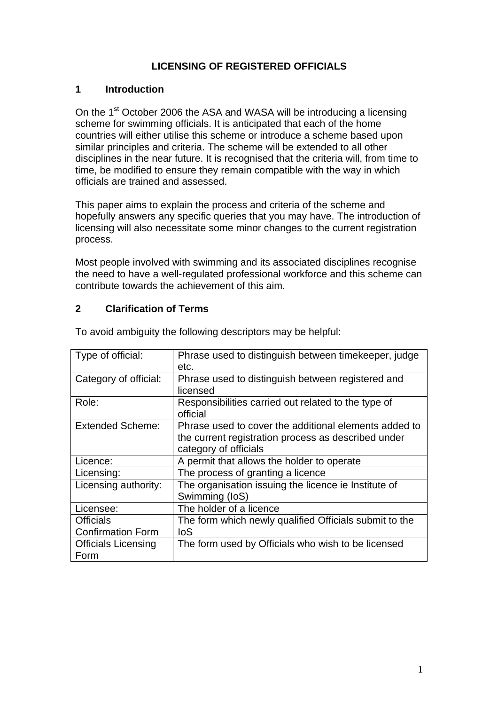# **LICENSING OF REGISTERED OFFICIALS**

#### **1 Introduction**

On the 1<sup>st</sup> October 2006 the ASA and WASA will be introducing a licensing scheme for swimming officials. It is anticipated that each of the home countries will either utilise this scheme or introduce a scheme based upon similar principles and criteria. The scheme will be extended to all other disciplines in the near future. It is recognised that the criteria will, from time to time, be modified to ensure they remain compatible with the way in which officials are trained and assessed.

This paper aims to explain the process and criteria of the scheme and hopefully answers any specific queries that you may have. The introduction of licensing will also necessitate some minor changes to the current registration process.

Most people involved with swimming and its associated disciplines recognise the need to have a well-regulated professional workforce and this scheme can contribute towards the achievement of this aim.

# **2 Clarification of Terms**

| Type of official:          | Phrase used to distinguish between timekeeper, judge   |
|----------------------------|--------------------------------------------------------|
|                            | etc.                                                   |
| Category of official:      | Phrase used to distinguish between registered and      |
|                            | licensed                                               |
| Role:                      | Responsibilities carried out related to the type of    |
|                            | official                                               |
| <b>Extended Scheme:</b>    | Phrase used to cover the additional elements added to  |
|                            | the current registration process as described under    |
|                            | category of officials                                  |
| Licence:                   | A permit that allows the holder to operate             |
| Licensing:                 | The process of granting a licence                      |
| Licensing authority:       | The organisation issuing the licence ie Institute of   |
|                            | Swimming (IoS)                                         |
| Licensee:                  | The holder of a licence                                |
| <b>Officials</b>           | The form which newly qualified Officials submit to the |
| <b>Confirmation Form</b>   | loS                                                    |
| <b>Officials Licensing</b> | The form used by Officials who wish to be licensed     |
| Form                       |                                                        |

To avoid ambiguity the following descriptors may be helpful: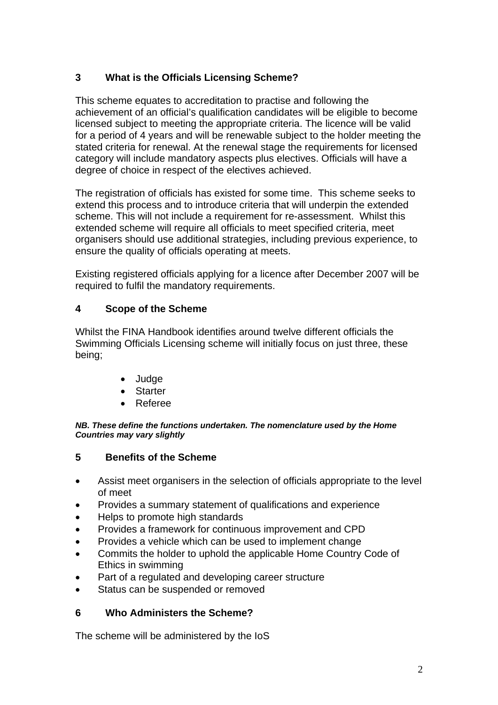# **3 What is the Officials Licensing Scheme?**

This scheme equates to accreditation to practise and following the achievement of an official's qualification candidates will be eligible to become licensed subject to meeting the appropriate criteria. The licence will be valid for a period of 4 years and will be renewable subject to the holder meeting the stated criteria for renewal. At the renewal stage the requirements for licensed category will include mandatory aspects plus electives. Officials will have a degree of choice in respect of the electives achieved.

The registration of officials has existed for some time. This scheme seeks to extend this process and to introduce criteria that will underpin the extended scheme. This will not include a requirement for re-assessment. Whilst this extended scheme will require all officials to meet specified criteria, meet organisers should use additional strategies, including previous experience, to ensure the quality of officials operating at meets.

Existing registered officials applying for a licence after December 2007 will be required to fulfil the mandatory requirements.

# **4 Scope of the Scheme**

Whilst the FINA Handbook identifies around twelve different officials the Swimming Officials Licensing scheme will initially focus on just three, these being;

- Judge
- **Starter**
- Referee

#### *NB. These define the functions undertaken. The nomenclature used by the Home Countries may vary slightly*

#### **5 Benefits of the Scheme**

- Assist meet organisers in the selection of officials appropriate to the level of meet
- Provides a summary statement of qualifications and experience
- Helps to promote high standards
- Provides a framework for continuous improvement and CPD
- Provides a vehicle which can be used to implement change
- Commits the holder to uphold the applicable Home Country Code of Ethics in swimming
- Part of a regulated and developing career structure
- Status can be suspended or removed

# **6 Who Administers the Scheme?**

The scheme will be administered by the IoS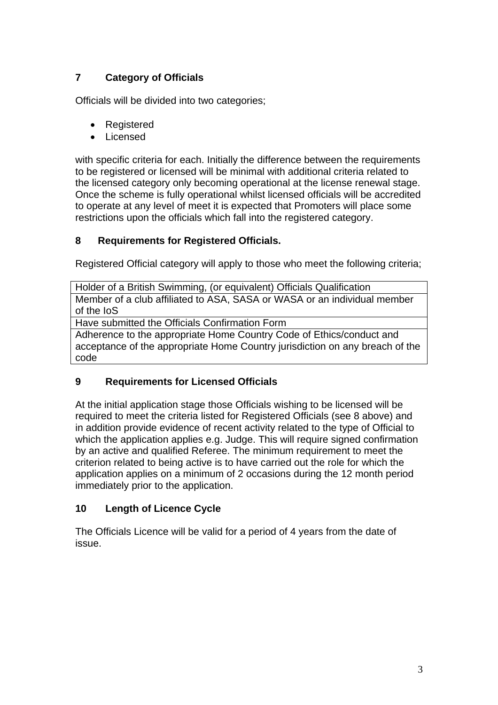# **7 Category of Officials**

Officials will be divided into two categories;

- Registered
- Licensed

with specific criteria for each. Initially the difference between the requirements to be registered or licensed will be minimal with additional criteria related to the licensed category only becoming operational at the license renewal stage. Once the scheme is fully operational whilst licensed officials will be accredited to operate at any level of meet it is expected that Promoters will place some restrictions upon the officials which fall into the registered category.

# **8 Requirements for Registered Officials.**

Registered Official category will apply to those who meet the following criteria;

Holder of a British Swimming, (or equivalent) Officials Qualification Member of a club affiliated to ASA, SASA or WASA or an individual member of the IoS

Have submitted the Officials Confirmation Form

Adherence to the appropriate Home Country Code of Ethics/conduct and acceptance of the appropriate Home Country jurisdiction on any breach of the code

# **9 Requirements for Licensed Officials**

At the initial application stage those Officials wishing to be licensed will be required to meet the criteria listed for Registered Officials (see 8 above) and in addition provide evidence of recent activity related to the type of Official to which the application applies e.g. Judge. This will require signed confirmation by an active and qualified Referee. The minimum requirement to meet the criterion related to being active is to have carried out the role for which the application applies on a minimum of 2 occasions during the 12 month period immediately prior to the application.

# **10 Length of Licence Cycle**

The Officials Licence will be valid for a period of 4 years from the date of issue.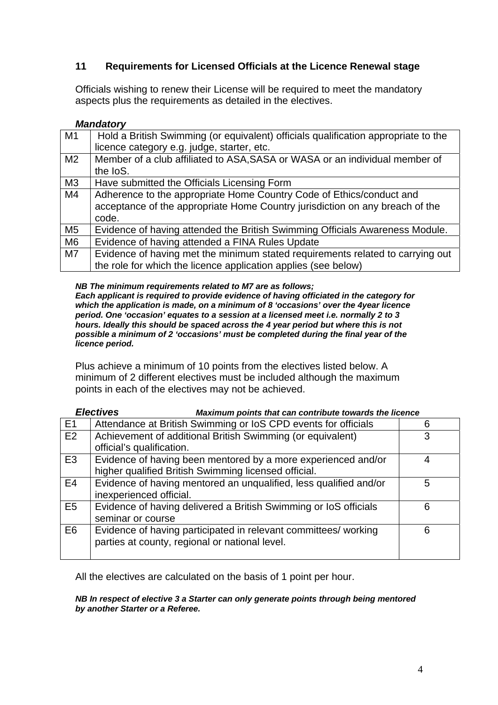# **11 Requirements for Licensed Officials at the Licence Renewal stage**

Officials wishing to renew their License will be required to meet the mandatory aspects plus the requirements as detailed in the electives.

#### *Mandatory*

| M <sub>1</sub> | Hold a British Swimming (or equivalent) officials qualification appropriate to the |
|----------------|------------------------------------------------------------------------------------|
|                | licence category e.g. judge, starter, etc.                                         |
| M <sub>2</sub> | Member of a club affiliated to ASA, SASA or WASA or an individual member of        |
|                | the loS.                                                                           |
| M <sub>3</sub> | Have submitted the Officials Licensing Form                                        |
| M4             | Adherence to the appropriate Home Country Code of Ethics/conduct and               |
|                | acceptance of the appropriate Home Country jurisdiction on any breach of the       |
|                | code.                                                                              |
| M <sub>5</sub> | Evidence of having attended the British Swimming Officials Awareness Module.       |
| M <sub>6</sub> | Evidence of having attended a FINA Rules Update                                    |
| M <sub>7</sub> | Evidence of having met the minimum stated requirements related to carrying out     |
|                | the role for which the licence application applies (see below)                     |

*NB The minimum requirements related to M7 are as follows;* 

*Each applicant is required to provide evidence of having officiated in the category for which the application is made, on a minimum of 8 'occasions' over the 4year licence period. One 'occasion' equates to a session at a licensed meet i.e. normally 2 to 3 hours. Ideally this should be spaced across the 4 year period but where this is not possible a minimum of 2 'occasions' must be completed during the final year of the licence period.* 

Plus achieve a minimum of 10 points from the electives listed below. A minimum of 2 different electives must be included although the maximum points in each of the electives may not be achieved.

| <b>Electives</b><br>Maximum points that can contribute towards the licence |                                                                                                                       |   |
|----------------------------------------------------------------------------|-----------------------------------------------------------------------------------------------------------------------|---|
| E <sub>1</sub>                                                             | Attendance at British Swimming or IoS CPD events for officials                                                        | 6 |
| E2                                                                         | Achievement of additional British Swimming (or equivalent)<br>official's qualification.                               | 3 |
| E <sub>3</sub>                                                             | Evidence of having been mentored by a more experienced and/or<br>higher qualified British Swimming licensed official. | 4 |
| E4                                                                         | Evidence of having mentored an unqualified, less qualified and/or<br>inexperienced official.                          | 5 |
| E <sub>5</sub>                                                             | Evidence of having delivered a British Swimming or IoS officials<br>seminar or course                                 | 6 |
| E <sub>6</sub>                                                             | Evidence of having participated in relevant committees/ working<br>parties at county, regional or national level.     | 6 |

All the electives are calculated on the basis of 1 point per hour.

#### *NB In respect of elective 3 a Starter can only generate points through being mentored by another Starter or a Referee.*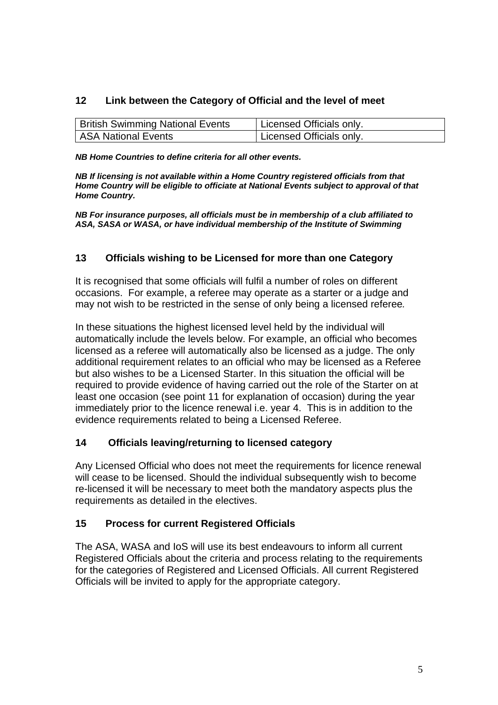# **12 Link between the Category of Official and the level of meet**

| <b>British Swimming National Events</b> | Licensed Officials only. |
|-----------------------------------------|--------------------------|
| ASA National Events                     | Licensed Officials only. |

*NB Home Countries to define criteria for all other events.* 

*NB If licensing is not available within a Home Country registered officials from that Home Country will be eligible to officiate at National Events subject to approval of that Home Country.* 

*NB For insurance purposes, all officials must be in membership of a club affiliated to ASA, SASA or WASA, or have individual membership of the Institute of Swimming* 

# **13 Officials wishing to be Licensed for more than one Category**

It is recognised that some officials will fulfil a number of roles on different occasions. For example, a referee may operate as a starter or a judge and may not wish to be restricted in the sense of only being a licensed referee*.* 

In these situations the highest licensed level held by the individual will automatically include the levels below. For example, an official who becomes licensed as a referee will automatically also be licensed as a judge. The only additional requirement relates to an official who may be licensed as a Referee but also wishes to be a Licensed Starter. In this situation the official will be required to provide evidence of having carried out the role of the Starter on at least one occasion (see point 11 for explanation of occasion) during the year immediately prior to the licence renewal i.e. year 4. This is in addition to the evidence requirements related to being a Licensed Referee.

# **14 Officials leaving/returning to licensed category**

Any Licensed Official who does not meet the requirements for licence renewal will cease to be licensed. Should the individual subsequently wish to become re-licensed it will be necessary to meet both the mandatory aspects plus the requirements as detailed in the electives.

# **15 Process for current Registered Officials**

The ASA, WASA and IoS will use its best endeavours to inform all current Registered Officials about the criteria and process relating to the requirements for the categories of Registered and Licensed Officials. All current Registered Officials will be invited to apply for the appropriate category.